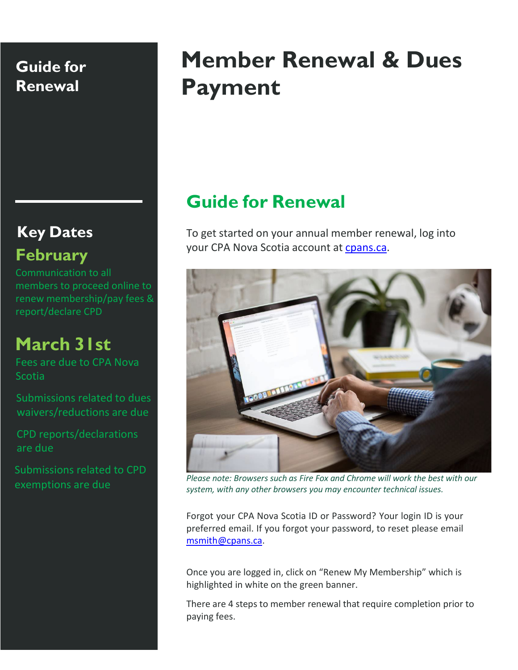# **Key Dates February**

Communication to all members to proceed online to renew membership/pay fees & report/declare CPD

# **March 31st**

Fees are due to CPA Nova **Scotia** 

Submissions related to dues waivers/reductions are due

CPD reports/declarations are due

Submissions related to CPD exemptions are due

# **Member Renewal & Dues Payment**

# **Guide for Renewal**

To get started on your annual member renewal, log into your CPA Nova Scotia account at [cpans.ca.](http://www.cpans.ca/)



*Please note: Browsers such as Fire Fox and Chrome will work the best with our system, with any other browsers you may encounter technical issues.*

Forgot your CPA Nova Scotia ID or Password? Your login ID is your preferred email. If you forgot your password, to reset please email [msmith@cpans.ca.](mailto:msmith@cpans.ca)

Once you are logged in, click on "Renew My Membership" which is highlighted in white on the green banner.

There are 4 steps to member renewal that require completion prior to paying fees.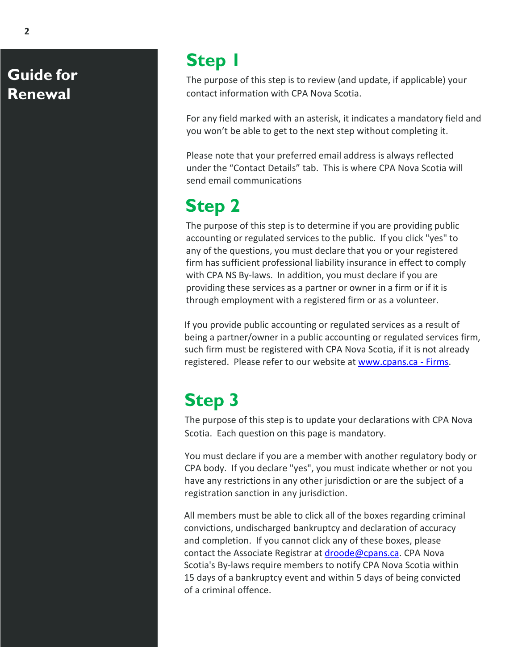# **Step 1**

The purpose of this step is to review (and update, if applicable) your contact information with CPA Nova Scotia.

For any field marked with an asterisk, it indicates a mandatory field and you won't be able to get to the next step without completing it.

Please note that your preferred email address is always reflected under the "Contact Details" tab. This is where CPA Nova Scotia will send email communications

# **Step 2**

The purpose of this step is to determine if you are providing public accounting or regulated services to the public. If you click "yes" to any of the questions, you must declare that you or your registered firm has sufficient professional liability insurance in effect to comply with CPA NS By-laws. In addition, you must declare if you are providing these services as a partner or owner in a firm or if it is through employment with a registered firm or as a volunteer.

If you provide public accounting or regulated services as a result of being a partner/owner in a public accounting or regulated services firm, such firm must be registered with CPA Nova Scotia, if it is not already registered. Please refer to our website at [www.cpans.ca](https://www.cpans.ca/web/CPANS/For_Firms/CPANS/Firms/Firm_Registration_1.aspx?hkey=802da14f-e20e-4916-8425-63b3d62c8429) - Firms.

# **Step 3**

The purpose of this step is to update your declarations with CPA Nova Scotia. Each question on this page is mandatory.

You must declare if you are a member with another regulatory body or CPA body. If you declare "yes", you must indicate whether or not you have any restrictions in any other jurisdiction or are the subject of a registration sanction in any jurisdiction.

All members must be able to click all of the boxes regarding criminal convictions, undischarged bankruptcy and declaration of accuracy and completion. If you cannot click any of these boxes, please contact the Associate Registrar at [droode@cpans.ca.](mailto:droode@cpans.ca) CPA Nova Scotia's By-laws require members to notify CPA Nova Scotia within 15 days of a bankruptcy event and within 5 days of being convicted of a criminal offence.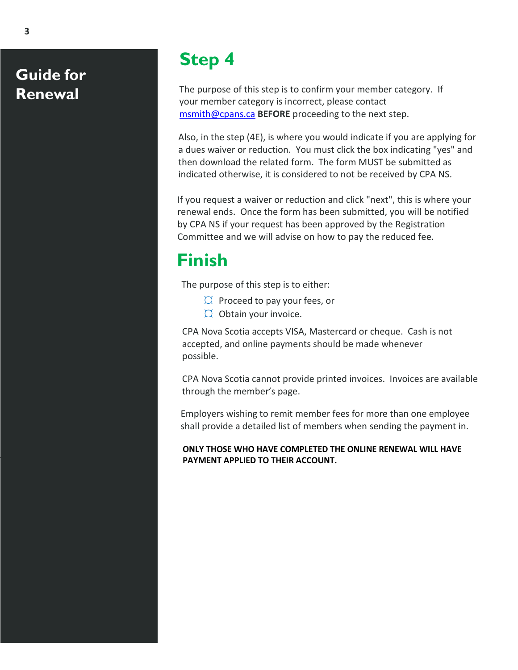# **Step 4**

The purpose of this step is to confirm your member category. If your member category is incorrect, please contact [msmith@cpans.ca](mailto:msmith@cpans.ca) **BEFORE** proceeding to the next step.

Also, in the step (4E), is where you would indicate if you are applying for a dues waiver or reduction. You must click the box indicating "yes" and then download the related form. The form MUST be submitted as indicated otherwise, it is considered to not be received by CPA NS.

If you request a waiver or reduction and click "next", this is where your renewal ends. Once the form has been submitted, you will be notified by CPA NS if your request has been approved by the Registration Committee and we will advise on how to pay the reduced fee.

# **Finish**

The purpose of this step is to either:

- $\varnothing$  Proceed to pay your fees, or
- $\varnothing$  Obtain your invoice.

CPA Nova Scotia accepts VISA, Mastercard or cheque. Cash is not accepted, and online payments should be made whenever possible.

CPA Nova Scotia cannot provide printed invoices. Invoices are available through the member's page.

Employers wishing to remit member fees for more than one employee shall provide a detailed list of members when sending the payment in.

#### **ONLY THOSE WHO HAVE COMPLETED THE ONLINE RENEWAL WILL HAVE PAYMENT APPLIED TO THEIR ACCOUNT.**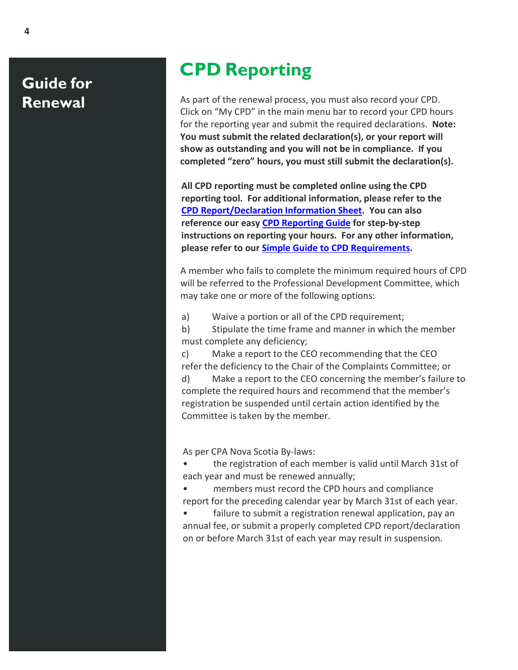# **CPD Reporting**

As part of the renewal process, you must also record your CPD. Click on "My CPD" in the main menu bar to record your CPD hours for the reporting year and submit the required declarations. **Note: You must submit the related declaration(s), or your report will show as outstanding and you will not be in compliance. If you completed "zero" hours, you must still submit the declaration(s).**

**All CPD reporting must be completed online using the CPD reporting tool. For additional information, please refer to the [CPD Report/Declaration Information Sheet.](https://www.cpans.ca/Web/Documents/CPD%20Documents/CPD%20Information%20Sheet%202022.pdf) You can also reference our easy [CPD Reporting Guide](https://www.cpans.ca/Web/Documents/CPD%20Documents/CPD%20Reporting%20Guide%202022.pdf) for step-by-step instructions on reporting your hours. For any other information, please refer to ou[r Simple Guide to CPD Requirements.](https://www.cpans.ca/Web/Documents/CPD%20Documents/Simple%20CPD%20Guide%20February%202022.pdf)**

A member who fails to complete the minimum required hours of CPD will be referred to the Professional Development Committee, which may take one or more of the following options:

a) Waive a portion or all of the CPD requirement;

b) Stipulate the time frame and manner in which the member must complete any deficiency;

c) Make a report to the CEO recommending that the CEO refer the deficiency to the Chair of the Complaints Committee; or d) Make a report to the CEO concerning the member's failure to complete the required hours and recommend that the member's registration be suspended until certain action identified by the Committee is taken by the member.

As per CPA Nova Scotia By-laws:

• the registration of each member is valid until March 31st of each year and must be renewed annually;

• members must record the CPD hours and compliance report for the preceding calendar year by March 31st of each year.

failure to submit a registration renewal application, pay an annual fee, or submit a properly completed CPD report/declaration on or before March 31st of each year may result in suspension.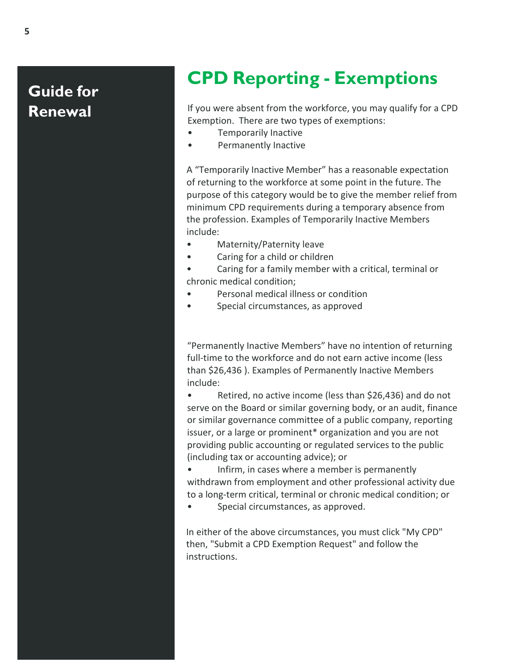# **CPD Reporting - Exemptions**

If you were absent from the workforce, you may qualify for a CPD Exemption. There are two types of exemptions:

- Temporarily Inactive
- Permanently Inactive

A "Temporarily Inactive Member" has a reasonable expectation of returning to the workforce at some point in the future. The purpose of this category would be to give the member relief from minimum CPD requirements during a temporary absence from the profession. Examples of Temporarily Inactive Members include:

- Maternity/Paternity leave
- Caring for a child or children

• Caring for a family member with a critical, terminal or chronic medical condition;

- Personal medical illness or condition
- Special circumstances, as approved

"Permanently Inactive Members" have no intention of returning full-time to the workforce and do not earn active income (less than \$26,436 ). Examples of Permanently Inactive Members include:

Retired, no active income (less than \$26,436) and do not serve on the Board or similar governing body, or an audit, finance or similar governance committee of a public company, reporting issuer, or a large or prominent\* organization and you are not providing public accounting or regulated services to the public (including tax or accounting advice); or

• Infirm, in cases where a member is permanently withdrawn from employment and other professional activity due to a long-term critical, terminal or chronic medical condition; or

Special circumstances, as approved.

In either of the above circumstances, you must click "My CPD" then, "Submit a CPD Exemption Request" and follow the instructions.